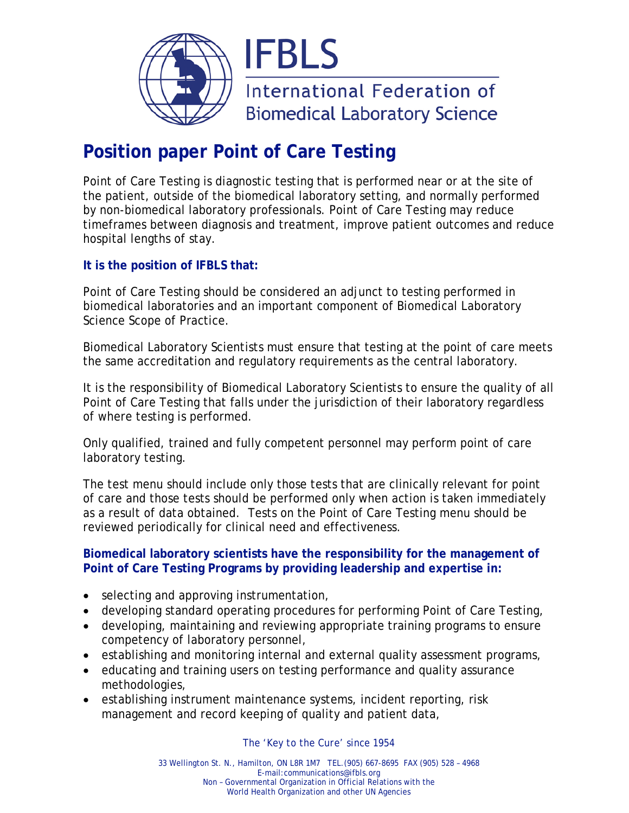

# **Position paper Point of Care Testing**

Point of Care Testing is diagnostic testing that is performed near or at the site of the patient, outside of the biomedical laboratory setting, and normally performed by non-biomedical laboratory professionals. Point of Care Testing may reduce timeframes between diagnosis and treatment, improve patient outcomes and reduce hospital lengths of stay.

### **It is the position of IFBLS that:**

Point of Care Testing should be considered an adjunct to testing performed in biomedical laboratories and an important component of Biomedical Laboratory Science Scope of Practice.

Biomedical Laboratory Scientists must ensure that testing at the point of care meets the same accreditation and regulatory requirements as the central laboratory.

It is the responsibility of Biomedical Laboratory Scientists to ensure the quality of all Point of Care Testing that falls under the jurisdiction of their laboratory regardless of where testing is performed.

Only qualified, trained and fully competent personnel may perform point of care laboratory testing.

The test menu should include only those tests that are clinically relevant for point of care and those tests should be performed only when action is taken immediately as a result of data obtained. Tests on the Point of Care Testing menu should be reviewed periodically for clinical need and effectiveness.

#### **Biomedical laboratory scientists have the responsibility for the management of Point of Care Testing Programs by providing leadership and expertise in:**

- selecting and approving instrumentation,
- developing standard operating procedures for performing Point of Care Testing,
- developing, maintaining and reviewing appropriate training programs to ensure competency of laboratory personnel,
- establishing and monitoring internal and external quality assessment programs,
- educating and training users on testing performance and quality assurance methodologies,
- establishing instrument maintenance systems, incident reporting, risk management and record keeping of quality and patient data,

*The 'Key to the Cure' since 1954*

33 Wellington St. N., Hamilton, ON L8R 1M7 TEL.(905) 667-8695 FAX (905) 528 – 4968 E-mail:communications@ifbls.org Non – Governmental Organization in Official Relations with the World Health Organization and other UN Agencies